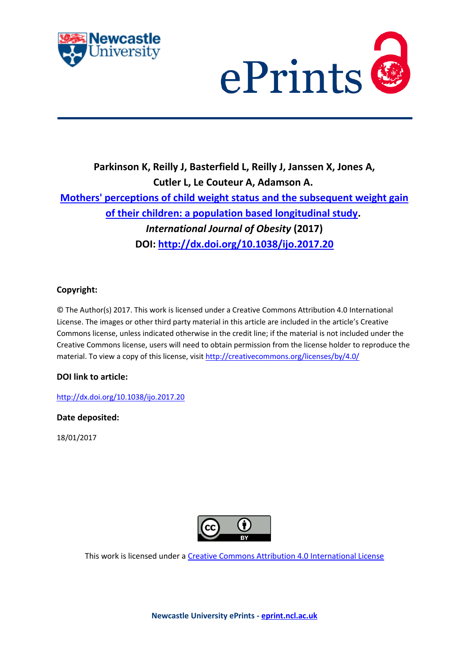



## **Parkinson K, Reilly J, Basterfield L, Reilly J, Janssen X, Jones A, Cutler L, Le Couteur A, Adamson A. [Mothers' perceptions of child weight status](https://myimpact.ncl.ac.uk/ViewPublication.aspx?id=231277) and the subsequent weight gain [of their children: a population based longitudinal study.](https://myimpact.ncl.ac.uk/ViewPublication.aspx?id=231277)** *International Journal of Obesity* **(2017) DOI:<http://dx.doi.org/10.1038/ijo.2017.20>**

## **Copyright:**

© The Author(s) 2017. This work is licensed under a Creative Commons Attribution 4.0 International License. The images or other third party material in this article are included in the article's Creative Commons license, unless indicated otherwise in the credit line; if the material is not included under the Creative Commons license, users will need to obtain permission from the license holder to reproduce the material. To view a copy of this license, visit<http://creativecommons.org/licenses/by/4.0/>

### **DOI link to article:**

<http://dx.doi.org/10.1038/ijo.2017.20>

**Date deposited:** 

18/01/2017



This work is licensed under [a Creative Commons Attribution 4.0 International License](http://creativecommons.org/licenses/by/4.0/)

**Newcastle University ePrints - [eprint.ncl.ac.uk](http://eprint.ncl.ac.uk/)**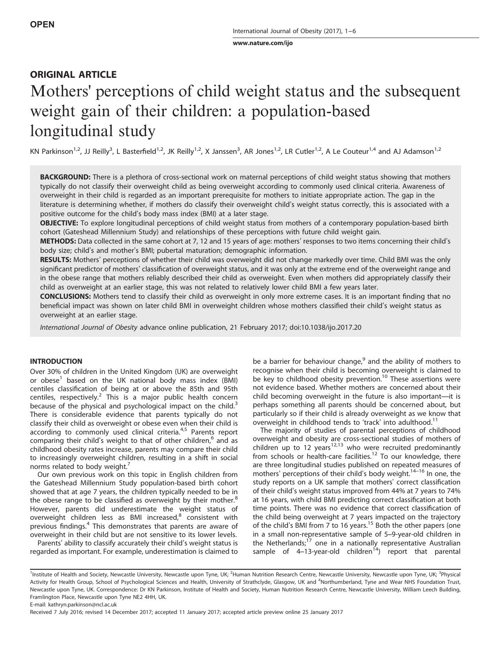[www.nature.com/ijo](http://www.nature.com/ijo)

## ORIGINAL ARTICLE

# Mothers' perceptions of child weight status and the subsequent weight gain of their children: a population-based longitudinal study

KN Parkinson<sup>1,2</sup>, JJ Reilly<sup>3</sup>, L Basterfield<sup>1,2</sup>, JK Reilly<sup>1,2</sup>, X Janssen<sup>3</sup>, AR Jones<sup>1,2</sup>, LR Cutler<sup>1,2</sup>, A Le Couteur<sup>1,4</sup> and AJ Adamson<sup>1,2</sup>

BACKGROUND: There is a plethora of cross-sectional work on maternal perceptions of child weight status showing that mothers typically do not classify their overweight child as being overweight according to commonly used clinical criteria. Awareness of overweight in their child is regarded as an important prerequisite for mothers to initiate appropriate action. The gap in the literature is determining whether, if mothers do classify their overweight child's weight status correctly, this is associated with a positive outcome for the child's body mass index (BMI) at a later stage.

OBJECTIVE: To explore longitudinal perceptions of child weight status from mothers of a contemporary population-based birth cohort (Gateshead Millennium Study) and relationships of these perceptions with future child weight gain.

METHODS: Data collected in the same cohort at 7, 12 and 15 years of age: mothers' responses to two items concerning their child's body size; child's and mother's BMI; pubertal maturation; demographic information.

RESULTS: Mothers' perceptions of whether their child was overweight did not change markedly over time. Child BMI was the only significant predictor of mothers' classification of overweight status, and it was only at the extreme end of the overweight range and in the obese range that mothers reliably described their child as overweight. Even when mothers did appropriately classify their child as overweight at an earlier stage, this was not related to relatively lower child BMI a few years later.

CONCLUSIONS: Mothers tend to classify their child as overweight in only more extreme cases. It is an important finding that no beneficial impact was shown on later child BMI in overweight children whose mothers classified their child's weight status as overweight at an earlier stage.

International Journal of Obesity advance online publication, 21 February 2017; doi[:10.1038/ijo.2017.20](http://dx.doi.org/10.1038/ijo.2017.20)

#### **INTRODUCTION**

Over 30% of children in the United Kingdom (UK) are overweight or obese<sup>1</sup> based on the UK national body mass index (BMI) centiles classification of being at or above the 85th and 95th centiles, respectively.<sup>[2](#page-6-0)</sup> This is a major public health concern because of the physical and psychological impact on the child. $3$ There is considerable evidence that parents typically do not classify their child as overweight or obese even when their child is according to commonly used clinical criteria.<sup>[4,5](#page-6-0)</sup> Parents report comparing their child's weight to that of other children,<sup>[6](#page-6-0)</sup> and as childhood obesity rates increase, parents may compare their child to increasingly overweight children, resulting in a shift in social norms related to body weight.<sup>[7](#page-6-0)</sup>

Our own previous work on this topic in English children from the Gateshead Millennium Study population-based birth cohort showed that at age 7 years, the children typically needed to be in the obese range to be classified as overweight by their mother.<sup>[8](#page-6-0)</sup> However, parents did underestimate the weight status of overweight children less as BMI increased,<sup>[8](#page-6-0)</sup> consistent with previous findings.[4](#page-6-0) This demonstrates that parents are aware of overweight in their child but are not sensitive to its lower levels.

Parents' ability to classify accurately their child's weight status is regarded as important. For example, underestimation is claimed to be a barrier for behaviour change, $9$  and the ability of mothers to recognise when their child is becoming overweight is claimed to be key to childhood obesity prevention.<sup>[10](#page-6-0)</sup> These assertions were not evidence based. Whether mothers are concerned about their child becoming overweight in the future is also important—it is perhaps something all parents should be concerned about, but particularly so if their child is already overweight as we know that overweight in childhood tends to 'track' into adulthood.<sup>[11](#page-6-0)</sup>

The majority of studies of parental perceptions of childhood overweight and obesity are cross-sectional studies of mothers of children up to 12 years<sup>[12,13](#page-6-0)</sup> who were recruited predominantly from schools or health-care facilities.<sup>[12](#page-6-0)</sup> To our knowledge, there are three longitudinal studies published on repea[ted m](#page-6-0)easures of mothers' perceptions of their child's body weight. $14-16$  In one, the study reports on a UK sample that mothers' correct classification of their child's weight status improved from 44% at 7 years to 74% at 16 years, with child BMI predicting correct classification at both time points. There was no evidence that correct classification of the child being overweight at 7 years impacted on the trajectory of the child's BMI from 7 to 16 years.<sup>[15](#page-6-0)</sup> Both the other papers (one in a small non-representative sample of 5–9-year-old children in the Netherlands;<sup>[17](#page-6-0)</sup> one in a nationally representative Australian sample of 4–13-year-old children<sup>14</sup>) report that parental

E-mail: [kathryn.parkinson@ncl.ac.uk](mailto:kathryn.parkinson@ncl.ac.uk)

<sup>&</sup>lt;sup>1</sup>Institute of Health and Society, Newcastle University, Newcastle upon Tyne, UK; <sup>2</sup>Human Nutrition Research Centre, Newcastle University, Newcastle upon Tyne, UK; <sup>3</sup>Physical Activity for Health Group, School of Psychological Sciences and Health, University of Strathclyde, Glasgow, UK and <sup>4</sup>Northumberland, Tyne and Wear NHS Foundation Trust, Newcastle upon Tyne, UK. Correspondence: Dr KN Parkinson, Institute of Health and Society, Human Nutrition Research Centre, Newcastle University, William Leech Building, Framlington Place, Newcastle upon Tyne NE2 4HH, UK.

Received 7 July 2016; revised 14 December 2017; accepted 11 January 2017; accepted article preview online 25 January 2017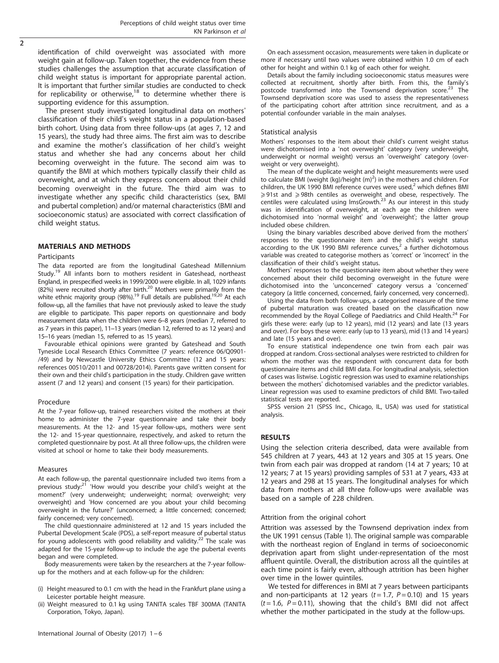identification of child overweight was associated with more weight gain at follow-up. Taken together, the evidence from these studies challenges the assumption that accurate classification of child weight status is important for appropriate parental action. It is important that further similar studies are conducted to check for replicability or otherwise, $18$  to determine whether there is supporting evidence for this assumption.

The present study investigated longitudinal data on mothers' classification of their child's weight status in a population-based birth cohort. Using data from three follow-ups (at ages 7, 12 and 15 years), the study had three aims. The first aim was to describe and examine the mother's classification of her child's weight status and whether she had any concerns about her child becoming overweight in the future. The second aim was to quantify the BMI at which mothers typically classify their child as overweight, and at which they express concern about their child becoming overweight in the future. The third aim was to investigate whether any specific child characteristics (sex, BMI and pubertal completion) and/or maternal characteristics (BMI and socioeconomic status) are associated with correct classification of child weight status.

#### MATERIALS AND METHODS

#### Participants

The data reported are from the longitudinal Gateshead Millennium Study.<sup>[19](#page-6-0)</sup> All infants born to mothers resident in Gateshead, northeast England, in prespecified weeks in 1999/2000 were eligible. In all, 1029 infants (82%) were recruited shortly after birth.<sup>20</sup> Mothers were primarily from the white ethnic majority group (98%).<sup>19</sup> Full details are published.<sup>[19,20](#page-6-0)</sup> At each follow-up, all the families that have not previously asked to leave the study are eligible to participate. This paper reports on questionnaire and body measurement data when the children were 6–8 years (median 7, referred to as 7 years in this paper), 11–13 years (median 12, referred to as 12 years) and 15–16 years (median 15, referred to as 15 years).

Favourable ethical opinions were granted by Gateshead and South Tyneside Local Research Ethics Committee (7 years: reference 06/Q0901- /49) and by Newcastle University Ethics Committee (12 and 15 years: references 00510/2011 and 00728/2014). Parents gave written consent for their own and their child's participation in the study. Children gave written assent (7 and 12 years) and consent (15 years) for their participation.

#### Procedure

At the 7-year follow-up, trained researchers visited the mothers at their home to administer the 7-year questionnaire and take their body measurements. At the 12- and 15-year follow-ups, mothers were sent the 12- and 15-year questionnaire, respectively, and asked to return the completed questionnaire by post. At all three follow-ups, the children were visited at school or home to take their body measurements.

#### Measures

At each follow-up, the parental questionnaire included two items from a previous study:<sup>[21](#page-6-0)</sup> 'How would you describe your child's weight at the moment?' (very underweight; underweight; normal; overweight; very overweight) and 'How concerned are you about your child becoming overweight in the future?' (unconcerned; a little concerned; concerned; fairly concerned; very concerned).

The child questionnaire administered at 12 and 15 years included the Pubertal Development Scale (PDS), a self-report measure of pubertal status for young adolescents with good reliability and validity.<sup>[22](#page-6-0)</sup> The scale was adapted for the 15-year follow-up to include the age the pubertal events began and were completed.

Body measurements were taken by the researchers at the 7-year followup for the mothers and at each follow-up for the children:

- (i) Height measured to 0.1 cm with the head in the Frankfurt plane using a Leicester portable height measure.
- (ii) Weight measured to 0.1 kg using TANITA scales TBF 300MA (TANITA Corporation, Tokyo, Japan).

On each assessment occasion, measurements were taken in duplicate or more if necessary until two values were obtained within 1.0 cm of each other for height and within 0.1 kg of each other for weight.

Details about the family including socioeconomic status measures were collected at recruitment, shortly after birth. From this, the family's postcode transformed into the Townsend deprivation score.<sup>[23](#page-6-0)</sup> The Townsend deprivation score was used to assess the representativeness of the participating cohort after attrition since recruitment, and as a potential confounder variable in the main analyses.

#### Statistical analysis

Mothers' responses to the item about their child's current weight status were dichotomised into a 'not overweight' category (very underweight, underweight or normal weight) versus an 'overweight' category (overweight or very overweight).

The mean of the duplicate weight and height measurements were used to calculate BMI (weight (kg)/height  $(m)^2$ ) in the mothers and children. For children, the UK 1990 BMI reference curves were used, $<sup>2</sup>$  which defines BMI</sup> ⩾91st and ⩾98th centiles as overweight and obese, respectively. The centiles were calculated using  $\text{ImSGrowth}^{23}$  $\text{ImSGrowth}^{23}$  $\text{ImSGrowth}^{23}$  As our interest in this study was in identification of overweight, at each age the children were dichotomised into 'normal weight' and 'overweight'; the latter group included obese children.

Using the binary variables described above derived from the mothers' responses to the questionnaire item and the child's weight status according to the UK 1990 BMI reference curves, $^2$  $^2$  a further dichotomous variable was created to categorise mothers as 'correct' or 'incorrect' in the classification of their child's weight status.

Mothers' responses to the questionnaire item about whether they were concerned about their child becoming overweight in the future were dichotomised into the 'unconcerned' category versus a 'concerned' category (a little concerned, concerned, fairly concerned, very concerned).

Using the data from both follow-ups, a categorised measure of the time of pubertal maturation was created based on the classification now recommended by the Royal College of Paediatrics and Child Health.<sup>24</sup> For girls these were: early (up to 12 years), mid (12 years) and late (13 years and over). For boys these were: early (up to 13 years), mid (13 and 14 years) and late (15 years and over).

To ensure statistical independence one twin from each pair was dropped at random. Cross-sectional analyses were restricted to children for whom the mother was the respondent with concurrent data for both questionnaire items and child BMI data. For longitudinal analysis, selection of cases was listwise. Logistic regression was used to examine relationships between the mothers' dichotomised variables and the predictor variables. Linear regression was used to examine predictors of child BMI. Two-tailed statistical tests are reported.

SPSS version 21 (SPSS Inc., Chicago, IL, USA) was used for statistical analysis.

#### RESULTS

Using the selection criteria described, data were available from 545 children at 7 years, 443 at 12 years and 305 at 15 years. One twin from each pair was dropped at random (14 at 7 years; 10 at 12 years; 7 at 15 years) providing samples of 531 at 7 years, 433 at 12 years and 298 at 15 years. The longitudinal analyses for which data from mothers at all three follow-ups were available was based on a sample of 228 children.

#### Attrition from the original cohort

Attrition was assessed by the Townsend deprivation index from the UK 1991 census [\(Table 1](#page-3-0)). The original sample was comparable with the northeast region of England in terms of socioeconomic deprivation apart from slight under-representation of the most affluent quintile. Overall, the distribution across all the quintiles at each time point is fairly even, although attrition has been higher over time in the lower quintiles.

We tested for differences in BMI at 7 years between participants and non-participants at 12 years  $(t = 1.7, P = 0.10)$  and 15 years  $(t = 1.6, P = 0.11)$ , showing that the child's BMI did not affect whether the mother participated in the study at the follow-ups.

 $\overline{2}$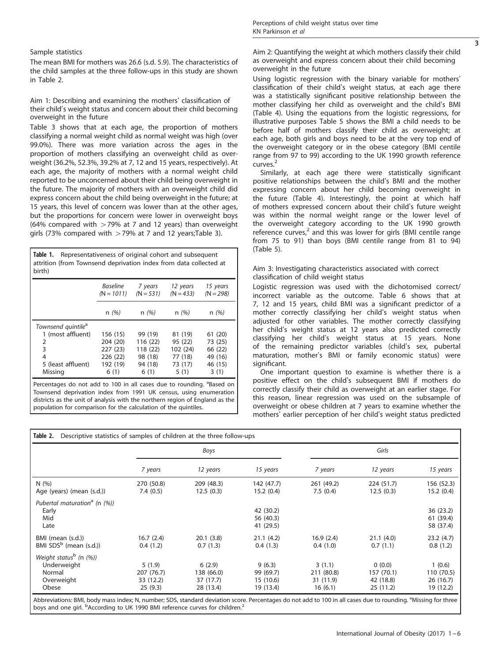#### <span id="page-3-0"></span>Sample statistics

The mean BMI for mothers was 26.6 (s.d. 5.9). The characteristics of the child samples at the three follow-ups in this study are shown in Table 2.

#### Aim 1: Describing and examining the mothers' classification of their child's weight status and concern about their child becoming overweight in the future

[Table 3](#page-4-0) shows that at each age, the proportion of mothers classifying a normal weight child as normal weight was high (over 99.0%). There was more variation across the ages in the proportion of mothers classifying an overweight child as overweight (36.2%, 52.3%, 39.2% at 7, 12 and 15 years, respectively). At each age, the majority of mothers with a normal weight child reported to be unconcerned about their child being overweight in the future. The majority of mothers with an overweight child did express concern about the child being overweight in the future; at 15 years, this level of concern was lower than at the other ages, but the proportions for concern were lower in overweight boys (64% compared with  $>79%$  at 7 and 12 years) than overweight girls (73% compared with  $>79%$  at 7 and 12 years[;Table 3\)](#page-4-0).

Table 1. Representativeness of original cohort and subsequent attrition (from Townsend deprivation index from data collected at birth) Baseline  $(N = 1011)$ 7 years  $(N = 531)$ 12 years  $(N = 433)$ 15 years  $(N = 298)$ 

|                                | n(%)     | n(%)     | n(%)     | n(%)    |
|--------------------------------|----------|----------|----------|---------|
| Townsend quintile <sup>a</sup> |          |          |          |         |
| 1 (most affluent)              | 156 (15) | 99 (19)  | 81 (19)  | 61(20)  |
| 2                              | 204 (20) | 116 (22) | 95 (22)  | 73 (25) |
| 3                              | 227 (23) | 118 (22) | 102 (24) | 66 (22) |
| 4                              | 226 (22) | 98 (18)  | 77 (18)  | 49 (16) |
| 5 (least affluent)             | 192 (19) | 94 (18)  | 73 (17)  | 46 (15) |
| Missing                        | 6(1)     | 6(1)     | 5(1)     | 3(1)    |

Percentages do not add to 100 in all cases due to rounding. <sup>a</sup>Based on Townsend deprivation index from 1991 UK census, using enumeration districts as the unit of analysis with the northern region of England as the population for comparison for the calculation of the quintiles.

Aim 2: Quantifying the weight at which mothers classify their child as overweight and express concern about their child becoming overweight in the future

Using logistic regression with the binary variable for mothers' classification of their child's weight status, at each age there was a statistically significant positive relationship between the mother classifying her child as overweight and the child's BMI [\(Table 4](#page-4-0)). Using the equations from the logistic regressions, for illustrative purposes [Table 5](#page-4-0) shows the BMI a child needs to be before half of mothers classify their child as overweight; at each age, both girls and boys need to be at the very top end of the overweight category or in the obese category (BMI centile range from 97 to 99) according to the UK 1990 growth reference curves.<sup>[2](#page-6-0)</sup>

Similarly, at each age there were statistically significant positive relationships between the child's BMI and the mother expressing concern about her child becoming overweight in the future [\(Table 4](#page-4-0)). Interestingly, the point at which half of mothers expressed concern about their child's future weight was within the normal weight range or the lower level of the overweight category according to the UK 1990 growth reference curves,<sup>[2](#page-6-0)</sup> and this was lower for girls (BMI centile range from 75 to 91) than boys (BMI centile range from 81 to 94) [\(Table 5](#page-4-0)).

#### Aim 3: Investigating characteristics associated with correct classification of child weight status

Logistic regression was used with the dichotomised correct/ incorrect variable as the outcome. [Table 6](#page-5-0) shows that at 7, 12 and 15 years, child BMI was a significant predictor of a mother correctly classifying her child's weight status when adjusted for other variables. The mother correctly classifying her child's weight status at 12 years also predicted correctly classifying her child's weight status at 15 years. None of the remaining predictor variables (child's sex, pubertal maturation, mother's BMI or family economic status) were significant.

One important question to examine is whether there is a positive effect on the child's subsequent BMI if mothers do correctly classify their child as overweight at an earlier stage. For this reason, linear regression was used on the subsample of overweight or obese children at 7 years to examine whether the mothers' earlier perception of her child's weight status predicted

|                                                                                       | Boys                                         |                                                |                                               | Girls                                        |                                               |                                               |  |
|---------------------------------------------------------------------------------------|----------------------------------------------|------------------------------------------------|-----------------------------------------------|----------------------------------------------|-----------------------------------------------|-----------------------------------------------|--|
|                                                                                       | 7 years                                      | 12 years                                       | 15 years                                      | 7 years                                      | 12 years                                      | 15 years                                      |  |
| N(%)<br>Age (years) (mean (s.d.))                                                     | 270 (50.8)<br>7.4(0.5)                       | 209 (48.3)<br>12.5(0.3)                        | 142 (47.7)<br>15.2(0.4)                       | 261 (49.2)<br>7.5(0.4)                       | 224 (51.7)<br>12.5(0.3)                       | 156 (52.3)<br>15.2(0.4)                       |  |
| Pubertal maturation <sup>a</sup> (n (%))<br>Early<br>Mid<br>Late                      |                                              |                                                | 42 (30.2)<br>56 (40.3)<br>41 (29.5)           |                                              |                                               | 36 (23.2)<br>61 (39.4)<br>58 (37.4)           |  |
| BMI (mean (s.d.))<br>BMI $SDS^b$ (mean (s.d.))                                        | 16.7(2.4)<br>0.4(1.2)                        | 20.1(3.8)<br>0.7(1.3)                          | 21.1(4.2)<br>0.4(1.3)                         | 16.9(2.4)<br>0.4(1.0)                        | 21.1(4.0)<br>0.7(1.1)                         | 23.2(4.7)<br>0.8(1.2)                         |  |
| Weight status <sup>b</sup> (n $(%)$ )<br>Underweight<br>Normal<br>Overweight<br>Obese | 5(1.9)<br>207 (76.7)<br>33 (12.2)<br>25(9.3) | 6(2.9)<br>138 (66.0)<br>37 (17.7)<br>28 (13.4) | 9(6.3)<br>99 (69.7)<br>15 (10.6)<br>19 (13.4) | 3(1.1)<br>211 (80.8)<br>31 (11.9)<br>16(6.1) | 0(0.0)<br>157 (70.1)<br>42 (18.8)<br>25(11.2) | 1(0.6)<br>110 (70.5)<br>26(16.7)<br>19 (12.2) |  |

Abbreviations: BMI, body mass index; N, number; SDS, standard deviation score. Percentages do not add to 100 in all cases due to rounding. <sup>a</sup>Missing for three boys and one girl. <sup>b</sup>According to UK 1990 BMI reference curves for children.<sup>[2](#page-6-0)</sup>

3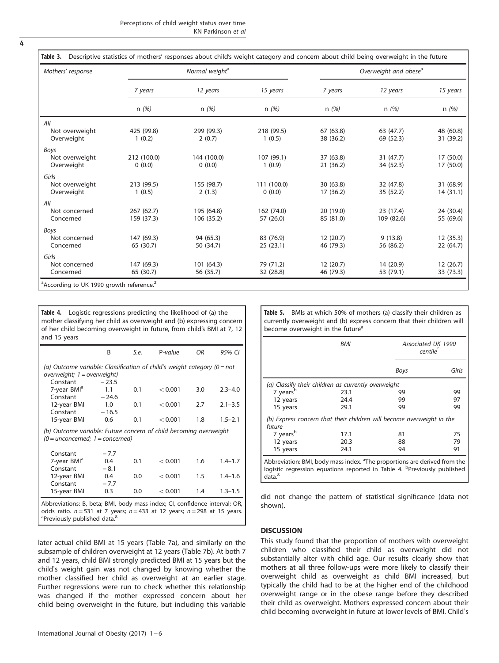<span id="page-4-0"></span>

| Mothers' response                    | Normal weight <sup>a</sup> |                          |                         | Overweight and obese <sup>a</sup> |                        |                        |  |  |
|--------------------------------------|----------------------------|--------------------------|-------------------------|-----------------------------------|------------------------|------------------------|--|--|
|                                      | 7 years                    | 12 years                 | 15 years                | 7 years                           | 12 years               | 15 years               |  |  |
|                                      | n(%)                       | n(%)                     | n(%)                    | n(%)                              | n(%)                   | n(%)                   |  |  |
| All                                  |                            |                          |                         |                                   |                        |                        |  |  |
| Not overweight<br>Overweight         | 425 (99.8)<br>1(0.2)       | 299 (99.3)<br>2(0.7)     | 218 (99.5)<br>1(0.5)    | 67 (63.8)<br>38 (36.2)            | 63 (47.7)<br>69 (52.3) | 48 (60.8)<br>31 (39.2) |  |  |
| Boys<br>Not overweight<br>Overweight | 212 (100.0)<br>0(0.0)      | 144 (100.0)<br>0(0.0)    | 107 (99.1)<br>1(0.9)    | 37 (63.8)<br>21 (36.2)            | 31 (47.7)<br>34 (52.3) | 17 (50.0)<br>17 (50.0) |  |  |
| Girls                                |                            |                          |                         |                                   |                        |                        |  |  |
| Not overweight<br>Overweight         | 213 (99.5)<br>1(0.5)       | 155 (98.7)<br>2(1.3)     | 111 (100.0)<br>0(0.0)   | 30 (63.8)<br>17 (36.2)            | 32 (47.8)<br>35 (52.2) | 31 (68.9)<br>14(31.1)  |  |  |
| All                                  |                            |                          |                         |                                   |                        |                        |  |  |
| Not concerned<br>Concerned           | 267 (62.7)<br>159 (37.3)   | 195 (64.8)<br>106 (35.2) | 162 (74.0)<br>57 (26.0) | 20 (19.0)<br>85 (81.0)            | 23(17.4)<br>109 (82.6) | 24 (30.4)<br>55 (69.6) |  |  |
| Boys                                 |                            |                          |                         |                                   |                        |                        |  |  |
| Not concerned<br>Concerned           | 147 (69.3)<br>65 (30.7)    | 94 (65.3)<br>50 (34.7)   | 83 (76.9)<br>25(23.1)   | 12(20.7)<br>46 (79.3)             | 9(13.8)<br>56 (86.2)   | 12 (35.3)<br>22(64.7)  |  |  |
| Girls                                |                            |                          |                         |                                   |                        |                        |  |  |
| Not concerned<br>Concerned           | 147 (69.3)<br>65 (30.7)    | 101(64.3)<br>56 (35.7)   | 79 (71.2)<br>32 (28.8)  | 12(20.7)<br>46 (79.3)             | 14 (20.9)<br>53 (79.1) | 12(26.7)<br>33 (73.3)  |  |  |

Table 4. Logistic regressions predicting the likelihood of (a) the mother classifying her child as overweight and (b) expressing concern of her child becoming overweight in future, from child's BMI at 7, 12 and 15 years

|                                                                                                            | B                         | S.e. | P-value | ΟR      | 95% CI      |  |  |  |
|------------------------------------------------------------------------------------------------------------|---------------------------|------|---------|---------|-------------|--|--|--|
| (a) Outcome variable: Classification of child's weight category ( $0 = not$<br>overweight; 1 = overweight) |                           |      |         |         |             |  |  |  |
| Constant<br>7-year BMI <sup>a</sup><br>Constant                                                            | $-23.5$<br>1.1<br>$-24.6$ | 0.1  | < 0.001 | 3.0     | $2.3 - 4.0$ |  |  |  |
| 12-year BMI<br>Constant                                                                                    | 1.0<br>$-16.5$            | 0.1  | < 0.001 | 2.7     | $2.1 - 3.5$ |  |  |  |
| 15-year BMI                                                                                                | 0.6                       | 0.1  | < 0.001 | 1.8     | $1.5 - 2.1$ |  |  |  |
| (b) Outcome variable: Future concern of child becoming overweight<br>$(0 =$ unconcerned; 1 = concerned)    |                           |      |         |         |             |  |  |  |
| Constant                                                                                                   | $-7.7$                    |      |         |         |             |  |  |  |
| 7-year BMI <sup>a</sup>                                                                                    | 0.4                       | 0.1  | < 0.001 | 1.6     | $1.4 - 1.7$ |  |  |  |
| Constant                                                                                                   | $-8.1$                    |      |         |         |             |  |  |  |
| 12-year BMI<br>Constant                                                                                    | 0.4<br>$-7.7$             | 0.0  | < 0.001 | $1.5\,$ | $1.4 - 1.6$ |  |  |  |
| 15-year BMI                                                                                                | 0.3                       | 0.0  | < 0.001 | 1.4     | $1.3 - 1.5$ |  |  |  |
| .                                                                                                          |                           |      |         |         |             |  |  |  |

Abbreviations: B, beta; BMI, body mass index; CI, confidence interval; OR, odds ratio.  $n=531$  at 7 years;  $n=433$  at 12 years;  $n=298$  at 15 years. <sup>a</sup>Previously published data.<sup>[8](#page-6-0)</sup>

later actual child BMI at 15 years [\(Table 7a](#page-5-0)), and similarly on the subsample of children overweight at 12 years ([Table 7b\)](#page-5-0). At both 7 and 12 years, child BMI strongly predicted BMI at 15 years but the child's weight gain was not changed by knowing whether the mother classified her child as overweight at an earlier stage. Further regressions were run to check whether this relationship was changed if the mother expressed concern about her child being overweight in the future, but including this variable

International Journal of Obesity (2017) 1 – 6

Table 5. BMIs at which 50% of mothers (a) classify their children as currently overweight and (b) express concern that their children will become overweight in the future<sup>a</sup>

|                      | <b>BMI</b>                                                            | Associated UK 1990<br>centile |       |  |
|----------------------|-----------------------------------------------------------------------|-------------------------------|-------|--|
|                      |                                                                       | Boys                          | Girls |  |
|                      | (a) Classify their children as currently overweight                   |                               |       |  |
| 7 years <sup>b</sup> | 23.1                                                                  | 99                            | 99    |  |
| 12 years             | 24.4                                                                  | 99                            | 97    |  |
| 15 years             | 29.1                                                                  | 99                            | 99    |  |
| future               | (b) Express concern that their children will become overweight in the |                               |       |  |
| 7 years <sup>b</sup> | 17.1                                                                  | 81                            | 75    |  |
| 12 years             | 20.3                                                                  | 88                            | 79    |  |
| 15 years             | 24.1                                                                  | 94                            | 91    |  |

did not change the pattern of statistical significance (data not shown).

#### DISCUSSION

This study found that the proportion of mothers with overweight children who classified their child as overweight did not substantially alter with child age. Our results clearly show that mothers at all three follow-ups were more likely to classify their overweight child as overweight as child BMI increased, but typically the child had to be at the higher end of the childhood overweight range or in the obese range before they described their child as overweight. Mothers expressed concern about their child becoming overweight in future at lower levels of BMI. Child's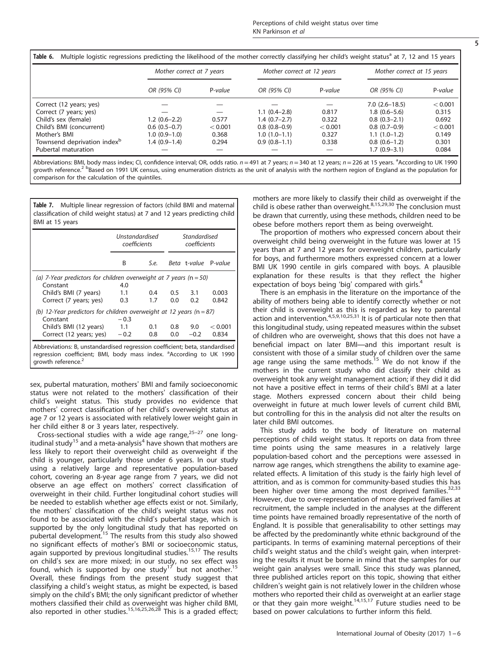<span id="page-5-0"></span>

|                                         | Mother correct at 7 years |         | Mother correct at 12 years |         | Mother correct at 15 years |         |
|-----------------------------------------|---------------------------|---------|----------------------------|---------|----------------------------|---------|
|                                         | OR (95% CI)               | P-value | OR (95% CI)                | P-value | OR (95% CI)                | P-value |
| Correct (12 years; yes)                 |                           |         |                            |         | $7.0(2.6 - 18.5)$          | < 0.001 |
| Correct (7 years; yes)                  |                           |         | $1.1(0.4-2.8)$             | 0.817   | $1.8(0.6 - 5.6)$           | 0.315   |
| Child's sex (female)                    | $1.2(0.6-2.2)$            | 0.577   | $1.4(0.7-2.7)$             | 0.322   | $0.8(0.3-2.1)$             | 0.692   |
| Child's BMI (concurrent)                | $0.6(0.5-0.7)$            | < 0.001 | $0.8(0.8-0.9)$             | < 0.001 | $0.8(0.7-0.9)$             | < 0.001 |
| Mother's BMI                            | $1.0(0.9-1.0)$            | 0.368   | $1.0(1.0-1.1)$             | 0.327   | $1.1(1.0-1.2)$             | 0.149   |
| Townsend deprivation index <sup>b</sup> | $1.4(0.9-1.4)$            | 0.294   | $0.9(0.8-1.1)$             | 0.338   | $0.8(0.6-1.2)$             | 0.301   |
| Pubertal maturation                     |                           |         |                            |         | $1.7(0.9-3.1)$             | 0.084   |

Abbreviations: BMI, body mass index; CI, confidence interval; OR, odds ratio. *n* = 491 at 7 years; *n* = 340 at 12 years; *n* = 226 at 15 years. <sup>a</sup>According to UK 1990 growth reference.<sup>[2](#page-6-0)</sup> bBased on 1991 UK census, using enumeration districts as the unit of analysis with the northern region of England as the population for comparison for the calculation of the quintiles.

Table 7. Multiple linear regression of factors (child BMI and maternal classification of child weight status) at 7 and 12 years predicting child BMI at 15 years

|                                                                                                                                                                                                  | <i><u><b>Unstandardised</b></u></i><br>coefficients                   |               | Standardised<br>coefficients |                      |         |  |  |
|--------------------------------------------------------------------------------------------------------------------------------------------------------------------------------------------------|-----------------------------------------------------------------------|---------------|------------------------------|----------------------|---------|--|--|
|                                                                                                                                                                                                  | B                                                                     | S.e.          |                              | Beta t-value P-value |         |  |  |
|                                                                                                                                                                                                  | (a) 7-Year predictors for children overweight at 7 years ( $n = 50$ ) |               |                              |                      |         |  |  |
| Constant                                                                                                                                                                                         | 4.0                                                                   |               |                              |                      |         |  |  |
| Child's BMI (7 years)                                                                                                                                                                            | 1.1                                                                   | $0.4^{\circ}$ | $0.5^{\circ}$                | 3.1                  | 0.003   |  |  |
| Correct (7 years; yes)                                                                                                                                                                           | 0.3                                                                   | 1.7           | 0.0                          | 0.2                  | 0.842   |  |  |
| (b) 12-Year predictors for children overweight at 12 years ( $n = 87$ )                                                                                                                          |                                                                       |               |                              |                      |         |  |  |
| Constant                                                                                                                                                                                         | $-0.3$                                                                |               |                              |                      |         |  |  |
| Child's BMI (12 years)                                                                                                                                                                           | 1.1                                                                   | 0.1           | 0.8                          | 9.0                  | < 0.001 |  |  |
| Correct (12 years; yes)                                                                                                                                                                          | $-0.2$                                                                | 0.8           | 0.0                          | $-0.2$               | 0.834   |  |  |
| Abbreviations: B, unstandardised regression coefficient; beta, standardised<br>regression coefficient; BMI, body mass index. <sup>a</sup> According to UK 1990<br>arowth reference. <sup>2</sup> |                                                                       |               |                              |                      |         |  |  |

sex, pubertal maturation, mothers' BMI and family socioeconomic status were not related to the mothers' classification of their child's weight status. This study provides no evidence that mothers' correct classification of her child's overweight status at age 7 or 12 years is associated with relatively lower weight gain in her child either 8 or 3 years later, respectively.

Cross-sectional studies with a wide age range, $25-27$  $25-27$  one long-itudinal study<sup>[15](#page-6-0)</sup> and a meta-analysis<sup>[4](#page-6-0)</sup> have shown that mothers are less likely to report their overweight child as overweight if the child is younger, particularly those under 6 years. In our study using a relatively large and representative population-based cohort, covering an 8-year age range from 7 years, we did not observe an age effect on mothers' correct classification of overweight in their child. Further longitudinal cohort studies will be needed to establish whether age effects exist or not. Similarly, the mothers' classification of the child's weight status was not found to be associated with the child's pubertal stage, which is supported by the only longitudinal study that has reported on pubertal development.[15](#page-6-0) The results from this study also showed no significant effects of mother's BMI or socioeconomic status, again supported by previous longitudinal studies.<sup>[15,17](#page-6-0)</sup> The results on child's sex are more mixed; in our study, no sex effect was found, which is supported by one study<sup>[17](#page-6-0)</sup> but not another.<sup>[15](#page-6-0)</sup> Overall, these findings from the present study suggest that classifying a child's weight status, as might be expected, is based simply on the child's BMI; the only significant predictor of whether mothers classified their child as overweight was higher child BMI, also reported in other studies.<sup>[15](#page-6-0),[16](#page-6-0),[25,26,28](#page-6-0)</sup> This is a graded effect; mothers are more likely to classify their child as overweight if the child is obese rather than overweight. $8,15,29,30$  $8,15,29,30$  $8,15,29,30$  $8,15,29,30$  $8,15,29,30$  The conclusion must be drawn that currently, using these methods, children need to be obese before mothers report them as being overweight.

The proportion of mothers who expressed concern about their overweight child being overweight in the future was lower at 15 years than at 7 and 12 years for overweight children, particularly for boys, and furthermore mothers expressed concern at a lower BMI UK 1990 centile in girls compared with boys. A plausible explanation for these results is that they reflect the higher expectation of boys being 'big' compared with girls.<sup>4</sup>

There is an emphasis in the literature on the importance of the ability of mothers being able to identify correctly whether or not their child is overweight as this is regarded as key to parental action and intervention.<sup>[4](#page-6-0),[5,9,10,25](#page-6-0),[31](#page-6-0)</sup> It is of particular note then that this longitudinal study, using repeated measures within the subset of children who are overweight, shows that this does not have a beneficial impact on later BMI—and this important result is consistent with those of a similar study of children over the same age range using the same methods.<sup>[15](#page-6-0)</sup> We do not know if the mothers in the current study who did classify their child as overweight took any weight management action; if they did it did not have a positive effect in terms of their child's BMI at a later stage. Mothers expressed concern about their child being overweight in future at much lower levels of current child BMI, but controlling for this in the analysis did not alter the results on later child BMI outcomes.

This study adds to the body of literature on maternal perceptions of child weight status. It reports on data from three time points using the same measures in a relatively large population-based cohort and the perceptions were assessed in narrow age ranges, which strengthens the ability to examine agerelated effects. A limitation of this study is the fairly high level of attrition, and as is common for community-based studies this has been higher over time among the most deprived families. $32,33$ However, due to over-representation of more deprived families at recruitment, the sample included in the analyses at the different time points have remained broadly representative of the north of England. It is possible that generalisability to other settings may be affected by the predominantly white ethnic background of the participants. In terms of examining maternal perceptions of their child's weight status and the child's weight gain, when interpreting the results it must be borne in mind that the samples for our weight gain analyses were small. Since this study was planned, three published articles report on this topic, showing that either children's weight gain is not relatively lower in the children whose mothers who reported their child as overweight at an earlier stage or that they gain more weight.<sup>[14,15](#page-6-0),[17](#page-6-0)</sup> Future studies need to be based on power calculations to further inform this field.